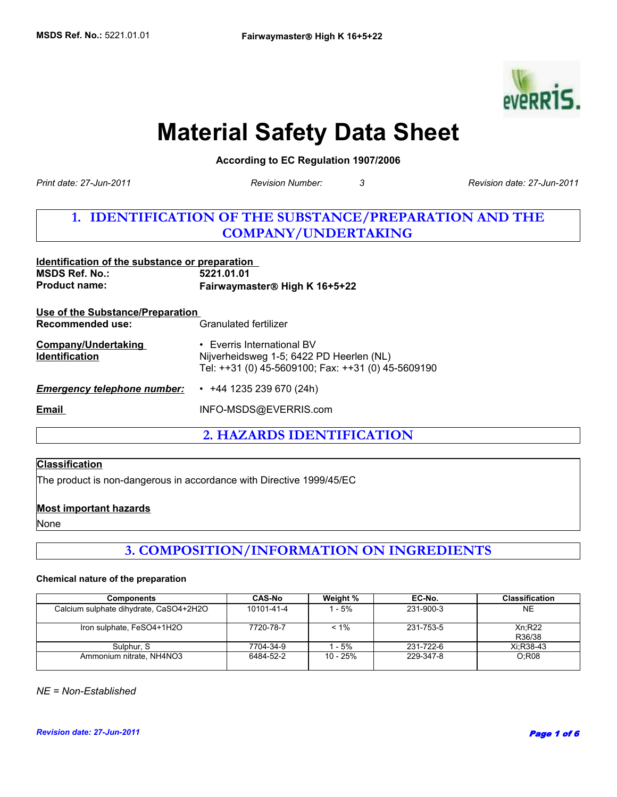

# **Material Safety Data Sheet**

**According to EC Regulation 1907/2006** 

*Print date: 27-Jun-2011*

*Revision Number: 3 Revision date: 27-Jun-2011*

## **1. IDENTIFICATION OF THE SUBSTANCE/PREPARATION AND THE COMPANY/UNDERTAKING**

| Identification of the substance or preparation<br><b>MSDS Ref. No.:</b><br><b>Product name:</b> | 5221.01.01<br>Fairwaymaster® High K 16+5+22                                                                                  |  |
|-------------------------------------------------------------------------------------------------|------------------------------------------------------------------------------------------------------------------------------|--|
| <u>Use of the Substance/Preparation</u><br>Recommended use:                                     | Granulated fertilizer                                                                                                        |  |
| <b>Company/Undertaking</b><br><b>Identification</b>                                             | • Everris International BV<br>Nijverheidsweg 1-5; 6422 PD Heerlen (NL)<br>Tel: ++31 (0) 45-5609100; Fax: ++31 (0) 45-5609190 |  |
| <b>Emergency telephone number:</b>                                                              | $\cdot$ +44 1235 239 670 (24h)                                                                                               |  |
| Email                                                                                           | INFO-MSDS@EVERRIS.com                                                                                                        |  |

**2. HAZARDS IDENTIFICATION**

## **Classification**

The product is non-dangerous in accordance with Directive 1999/45/EC

## **Most important hazards**

None

## **3. COMPOSITION/INFORMATION ON INGREDIENTS**

#### **Chemical nature of the preparation**

| <b>Components</b>                      | <b>CAS-No</b> | Weight % | EC-No.    | <b>Classification</b> |
|----------------------------------------|---------------|----------|-----------|-----------------------|
| Calcium sulphate dihydrate, CaSO4+2H2O | 10101-41-4    | - 5%     | 231-900-3 | NE.                   |
| Iron sulphate, FeSO4+1H2O              | 7720-78-7     | $< 1\%$  | 231-753-5 | Xn:R22<br>R36/38      |
| Sulphur, S                             | 7704-34-9     | - 5%     | 231-722-6 | Xi:R38-43             |
| Ammonium nitrate, NH4NO3               | 6484-52-2     | 10 - 25% | 229-347-8 | O:RO8                 |

*NE = Non-Established*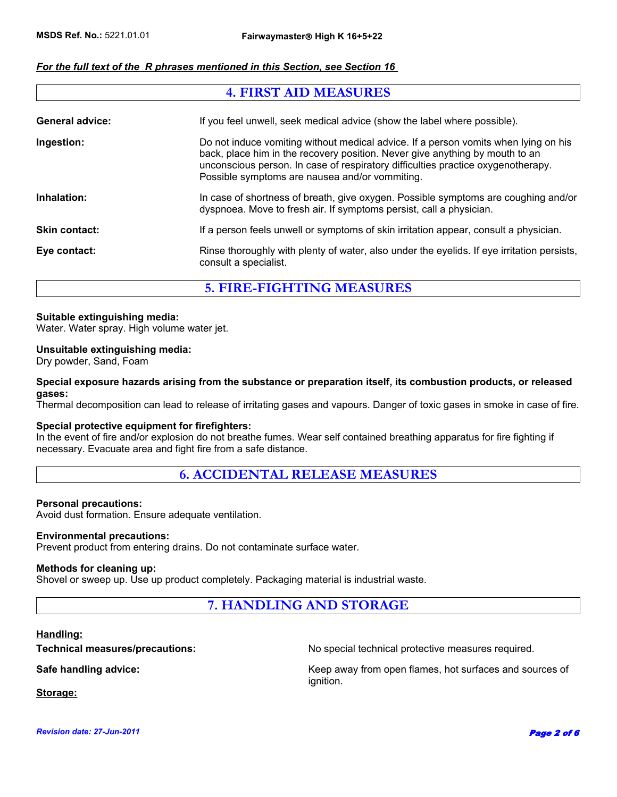## *For the full text of the R phrases mentioned in this Section, see Section 16*

## **4. FIRST AID MEASURES** General advice: **If you feel unwell, seek medical advice (show the label where possible). Ingestion:** Do not induce vomiting without medical advice. If a person vomits when lying on his back, place him in the recovery position. Never give anything by mouth to an unconscious person. In case of respiratory difficulties practice oxygenotherapy. Possible symptoms are nausea and/or vommiting. Inhalation: In case of shortness of breath, give oxygen. Possible symptoms are coughing and/or dyspnoea. Move to fresh air. If symptoms persist, call a physician. **Skin contact:** If a person feels unwell or symptoms of skin irritation appear, consult a physician. **Eye contact:** Rinse thoroughly with plenty of water, also under the eyelids. If eye irritation persists, consult a specialist.

## **5. FIRE-FIGHTING MEASURES**

## **Suitable extinguishing media:**

Water. Water spray. High volume water jet.

#### **Unsuitable extinguishing media:**

Dry powder, Sand, Foam

#### **Special exposure hazards arising from the substance or preparation itself, its combustion products, or released gases:**

Thermal decomposition can lead to release of irritating gases and vapours. Danger of toxic gases in smoke in case of fire.

## **Special protective equipment for firefighters:**

In the event of fire and/or explosion do not breathe fumes. Wear self contained breathing apparatus for fire fighting if necessary. Evacuate area and fight fire from a safe distance.

## **6. ACCIDENTAL RELEASE MEASURES**

#### **Personal precautions:**

Avoid dust formation. Ensure adequate ventilation.

#### **Environmental precautions:**

Prevent product from entering drains. Do not contaminate surface water.

#### **Methods for cleaning up:**

Shovel or sweep up. Use up product completely. Packaging material is industrial waste.

## **7. HANDLING AND STORAGE**

#### **Handling:**

**Technical measures/precautions:** No special technical protective measures required.

**Safe handling advice:** Keep away from open flames, hot surfaces and sources of ignition.

**Storage:**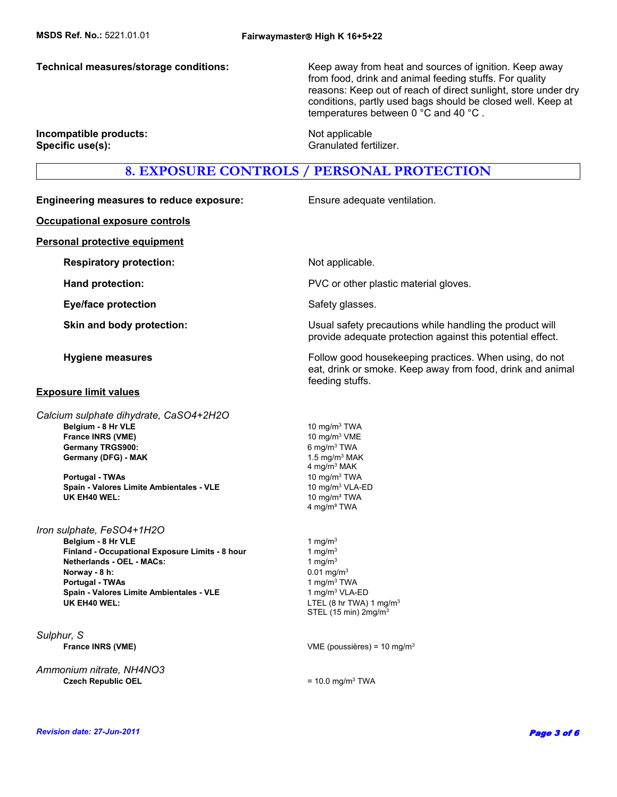**Technical measures/storage conditions:** Keep away from heat and sources of ignition. Keep away from food, drink and animal feeding stuffs. For quality reasons: Keep out of reach of direct sunlight, store under dry conditions, partly used bags should be closed well. Keep at temperatures between 0 °C and 40 °C .

#### **Incompatible products:** Not applicable **Specific use(s):** Granulated fertilizer.

## **8. EXPOSURE CONTROLS / PERSONAL PROTECTION**

**Engineering measures to reduce exposure:** Ensure adequate ventilation. **Occupational exposure controls Personal protective equipment Respiratory protection:** Not applicable. **Hand protection: EXECUTE:** PVC or other plastic material gloves. **Eye/face protection** Safety glasses. **Skin and body protection:** Usual safety precautions while handling the product will provide adequate protection against this potential effect. **Hygiene measures Follow good housekeeping practices. When using, do not all the set of the Follow good housekeeping practices. When using, do not** eat, drink or smoke. Keep away from food, drink and animal feeding stuffs. **Exposure limit values** 6 mg/m3 TWA **Finland - Occupational Exposure Limits - 8 hour** 1 mg/m<sup>3</sup> **Netherlands - OEL - MACs:** 1 mg/m<sup>3</sup> **Norway - 8 h:** 0.01 mg/m<sup>3</sup> Germany (DFG) - MAK 1.5 mg/m<sup>3</sup> MAK 4 mg/m3 MAK **Portugal - TWAs** 1 mg/m<sup>3</sup> TWA **Belgium - 8 Hr VLE** 10 mg/m<sup>3</sup> TWA **Spain - Valores Limite Ambientales - VLE** 1 mg/m<sup>3</sup> VLA-ED  **Portugal - TWAs UK EH40 WEL:** LTEL (8 hr TWA) 1 mg/m<sup>3</sup> STEL (15 min) 2mg/m3 10 mg/m3 TWA *Sulphur, S Calcium sulphate dihydrate, CaSO4+2H2O*  **France INRS (VME)** VME (poussières) = 10 mg/m3 **Spain - Valores Limite Ambientales - VLE** 10 mg/m<sup>3</sup> VLA-ED *Ammonium nitrate, NH4NO3* **Czech Republic OEL** = 10.0 mg/m<sup>3</sup> TWA **France INRS (VME) UK EH40 WEL:** 10 mg/m<sup>3</sup> TWA 4 mg/m<sup>3</sup> TWA 10 mg/m3 VME *Iron sulphate, FeSO4+1H2O Revision date: 27-Jun-2011* Page 3 of 6 **Belgium - 8 Hr VLE** 1 mg/m<sup>3</sup>  **Germany TRGS900:**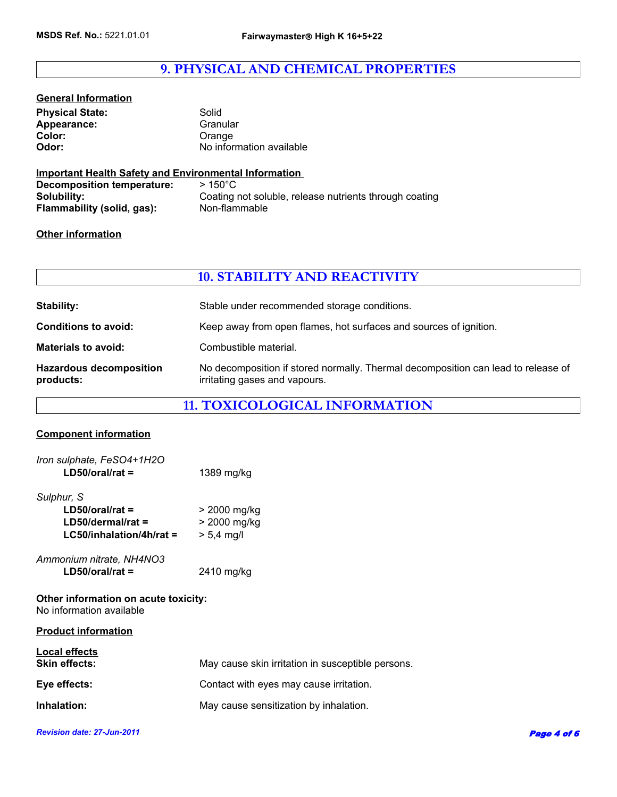## **9. PHYSICAL AND CHEMICAL PROPERTIES**

| <b>General Information</b> |                          |
|----------------------------|--------------------------|
| <b>Physical State:</b>     | Solid                    |
| Appearance:                | Granular                 |
| <b>Color:</b>              | Orange                   |
| Odor:                      | No information available |
|                            |                          |

## **Important Health Safety and Environmental Information**

| Decomposition temperature: | $>150^{\circ}$ C                                       |
|----------------------------|--------------------------------------------------------|
| Solubility:                | Coating not soluble, release nutrients through coating |
| Flammability (solid, gas): | Non-flammable                                          |

## **Other information**

## **10. STABILITY AND REACTIVITY**

| Stability:                                  | Stable under recommended storage conditions.                                                                       |
|---------------------------------------------|--------------------------------------------------------------------------------------------------------------------|
| <b>Conditions to avoid:</b>                 | Keep away from open flames, hot surfaces and sources of ignition.                                                  |
| <b>Materials to avoid:</b>                  | Combustible material.                                                                                              |
| <b>Hazardous decomposition</b><br>products: | No decomposition if stored normally. Thermal decomposition can lead to release of<br>irritating gases and vapours. |

## **11. TOXICOLOGICAL INFORMATION**

## **Component information**

| Iron sulphate, FeSO4+1H2O |              |
|---------------------------|--------------|
| $LD50/oral/rat =$         | 1389 mg/kg   |
| Sulphur, S                |              |
| $LD50/oral/rat =$         | > 2000 mg/kg |
| $LD50$ /dermal/rat =      | > 2000 mg/kg |
| LC50/inhalation/4h/rat =  | $> 5.4$ mg/l |
| Ammonium nitrate, NH4NO3  |              |
| $LD50/oral/rat =$         | 2410 mg/kg   |

**Other information on acute toxicity:** No information available

| <b>Product information</b>            |                                                   |
|---------------------------------------|---------------------------------------------------|
| Local effects<br><b>Skin effects:</b> | May cause skin irritation in susceptible persons. |
| Eye effects:                          | Contact with eyes may cause irritation.           |
| Inhalation:                           | May cause sensitization by inhalation.            |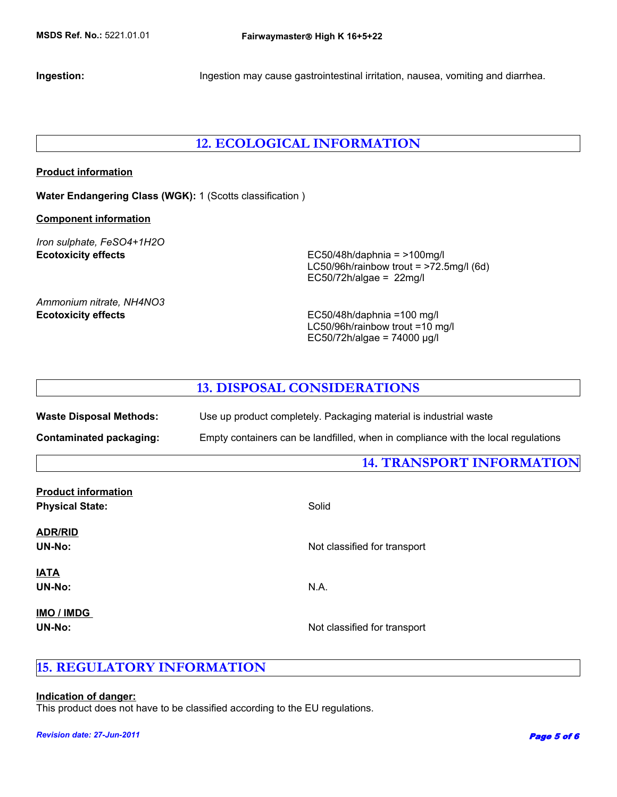**Ingestion:** Ingestion may cause gastrointestinal irritation, nausea, vomiting and diarrhea.

## **12. ECOLOGICAL INFORMATION**

## **Product information**

**Water Endangering Class (WGK):** 1 (Scotts classification )

#### **Component information**

*Iron sulphate, FeSO4+1H2O*

**Ecotoxicity effects** EC50/48h/daphnia = >100mg/l LC50/96h/rainbow trout =  $>72.5$ mg/l (6d) EC50/72h/algae =  $22$ mg/l

*Ammonium nitrate, NH4NO3*

**Ecotoxicity effects** EC50/48h/daphnia =100 mg/l LC50/96h/rainbow trout =10 mg/l EC50/72h/algae = 74000 µg/l

## **13. DISPOSAL CONSIDERATIONS**

| <b>Waste Disposal Methods:</b> | Use up product completely. Packaging material is industrial waste                 |
|--------------------------------|-----------------------------------------------------------------------------------|
| Contaminated packaging:        | Empty containers can be landfilled, when in compliance with the local regulations |

## **14. TRANSPORT INFORMATION**

| <b>Product information</b><br><b>Physical State:</b> | Solid                        |
|------------------------------------------------------|------------------------------|
| <b>ADR/RID</b><br><b>UN-No:</b>                      | Not classified for transport |
| <b>IATA</b><br><b>UN-No:</b>                         | N.A.                         |
| IMO / IMDG<br>UN-No:                                 | Not classified for transport |

## **15. REGULATORY INFORMATION**

## **Indication of danger:**

This product does not have to be classified according to the EU regulations.